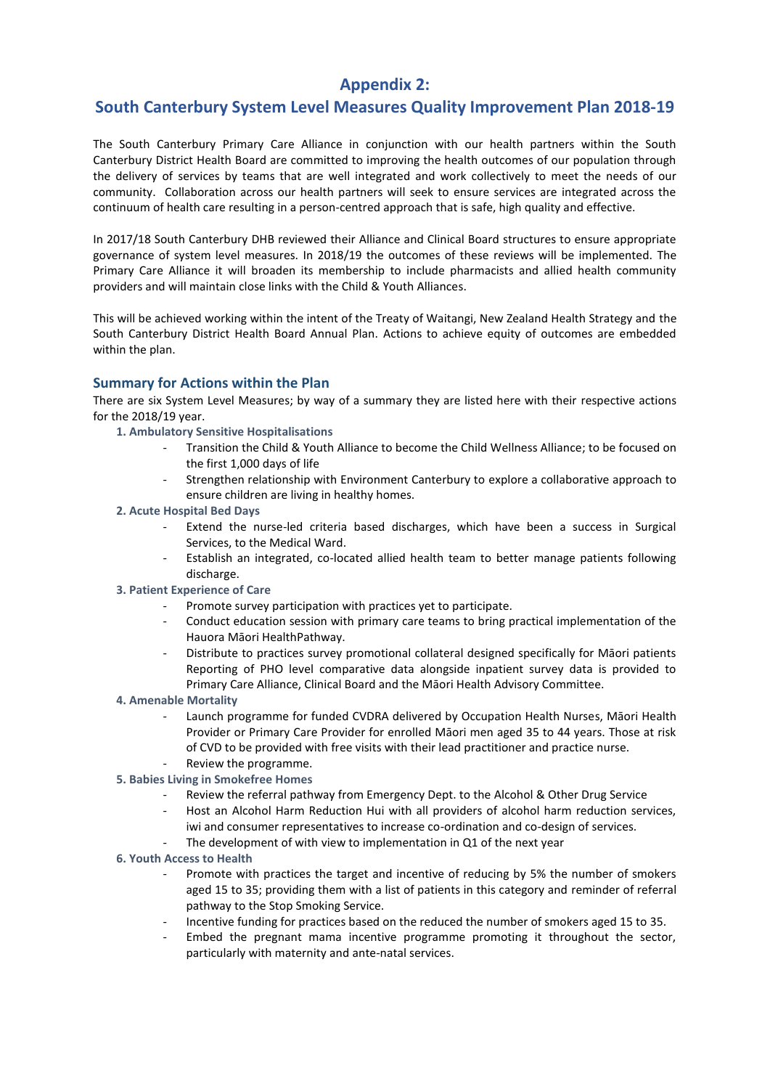# **Appendix 2:**

## **South Canterbury System Level Measures Quality Improvement Plan 2018-19**

The South Canterbury Primary Care Alliance in conjunction with our health partners within the South Canterbury District Health Board are committed to improving the health outcomes of our population through the delivery of services by teams that are well integrated and work collectively to meet the needs of our community. Collaboration across our health partners will seek to ensure services are integrated across the continuum of health care resulting in a person-centred approach that is safe, high quality and effective.

In 2017/18 South Canterbury DHB reviewed their Alliance and Clinical Board structures to ensure appropriate governance of system level measures. In 2018/19 the outcomes of these reviews will be implemented. The Primary Care Alliance it will broaden its membership to include pharmacists and allied health community providers and will maintain close links with the Child & Youth Alliances.

This will be achieved working within the intent of the Treaty of Waitangi, New Zealand Health Strategy and the South Canterbury District Health Board Annual Plan. Actions to achieve equity of outcomes are embedded within the plan.

#### **Summary for Actions within the Plan**

There are six System Level Measures; by way of a summary they are listed here with their respective actions for the 2018/19 year.

- **1. Ambulatory Sensitive Hospitalisations**
	- Transition the Child & Youth Alliance to become the Child Wellness Alliance; to be focused on the first 1,000 days of life
	- Strengthen relationship with Environment Canterbury to explore a collaborative approach to ensure children are living in healthy homes.
- **2. Acute Hospital Bed Days**
	- Extend the nurse-led criteria based discharges, which have been a success in Surgical Services, to the Medical Ward.
	- Establish an integrated, co-located allied health team to better manage patients following discharge.
- **3. Patient Experience of Care**
	- Promote survey participation with practices yet to participate.
	- Conduct education session with primary care teams to bring practical implementation of the Hauora Māori HealthPathway.
	- Distribute to practices survey promotional collateral designed specifically for Māori patients Reporting of PHO level comparative data alongside inpatient survey data is provided to Primary Care Alliance, Clinical Board and the Māori Health Advisory Committee.
- **4. Amenable Mortality**
	- Launch programme for funded CVDRA delivered by Occupation Health Nurses, Māori Health Provider or Primary Care Provider for enrolled Māori men aged 35 to 44 years. Those at risk of CVD to be provided with free visits with their lead practitioner and practice nurse.
	- Review the programme.
- **5. Babies Living in Smokefree Homes**
	- Review the referral pathway from Emergency Dept. to the Alcohol & Other Drug Service
	- Host an Alcohol Harm Reduction Hui with all providers of alcohol harm reduction services, iwi and consumer representatives to increase co-ordination and co-design of services.
	- The development of with view to implementation in Q1 of the next year
- **6. Youth Access to Health**
	- Promote with practices the target and incentive of reducing by 5% the number of smokers aged 15 to 35; providing them with a list of patients in this category and reminder of referral pathway to the Stop Smoking Service.
	- Incentive funding for practices based on the reduced the number of smokers aged 15 to 35.
	- Embed the pregnant mama incentive programme promoting it throughout the sector, particularly with maternity and ante-natal services.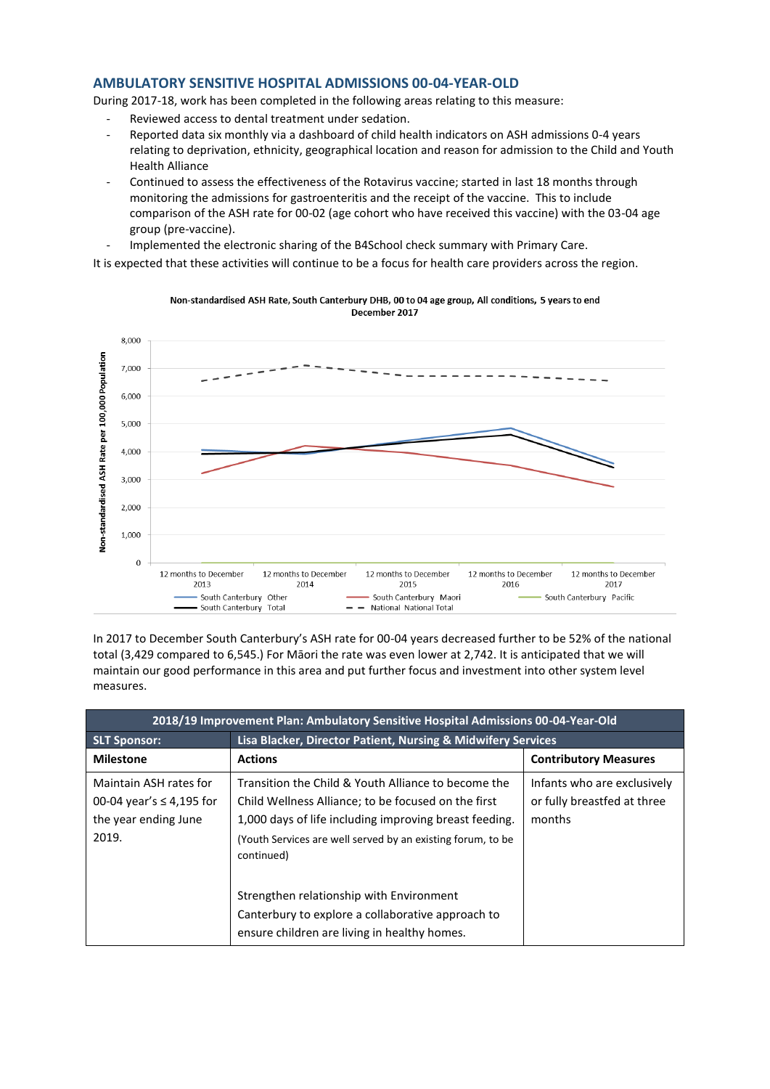#### **AMBULATORY SENSITIVE HOSPITAL ADMISSIONS 00-04-YEAR-OLD**

During 2017-18, work has been completed in the following areas relating to this measure:

- Reviewed access to dental treatment under sedation.
- Reported data six monthly via a dashboard of child health indicators on ASH admissions 0-4 years relating to deprivation, ethnicity, geographical location and reason for admission to the Child and Youth Health Alliance
- Continued to assess the effectiveness of the Rotavirus vaccine; started in last 18 months through monitoring the admissions for gastroenteritis and the receipt of the vaccine. This to include comparison of the ASH rate for 00-02 (age cohort who have received this vaccine) with the 03-04 age group (pre-vaccine).
- Implemented the electronic sharing of the B4School check summary with Primary Care.

It is expected that these activities will continue to be a focus for health care providers across the region.



Non-standardised ASH Rate, South Canterbury DHB, 00 to 04 age group, All conditions, 5 years to end December 2017

In 2017 to December South Canterbury's ASH rate for 00-04 years decreased further to be 52% of the national total (3,429 compared to 6,545.) For Māori the rate was even lower at 2,742. It is anticipated that we will maintain our good performance in this area and put further focus and investment into other system level measures.

| 2018/19 Improvement Plan: Ambulatory Sensitive Hospital Admissions 00-04-Year-Old        |                                                                                                                                                                                                                                                   |                                                                      |  |
|------------------------------------------------------------------------------------------|---------------------------------------------------------------------------------------------------------------------------------------------------------------------------------------------------------------------------------------------------|----------------------------------------------------------------------|--|
| <b>SLT Sponsor:</b>                                                                      | Lisa Blacker, Director Patient, Nursing & Midwifery Services                                                                                                                                                                                      |                                                                      |  |
| <b>Milestone</b>                                                                         | <b>Actions</b>                                                                                                                                                                                                                                    | <b>Contributory Measures</b>                                         |  |
| Maintain ASH rates for<br>00-04 year's $\leq$ 4,195 for<br>the year ending June<br>2019. | Transition the Child & Youth Alliance to become the<br>Child Wellness Alliance; to be focused on the first<br>1,000 days of life including improving breast feeding.<br>(Youth Services are well served by an existing forum, to be<br>continued) | Infants who are exclusively<br>or fully breastfed at three<br>months |  |
|                                                                                          | Strengthen relationship with Environment<br>Canterbury to explore a collaborative approach to<br>ensure children are living in healthy homes.                                                                                                     |                                                                      |  |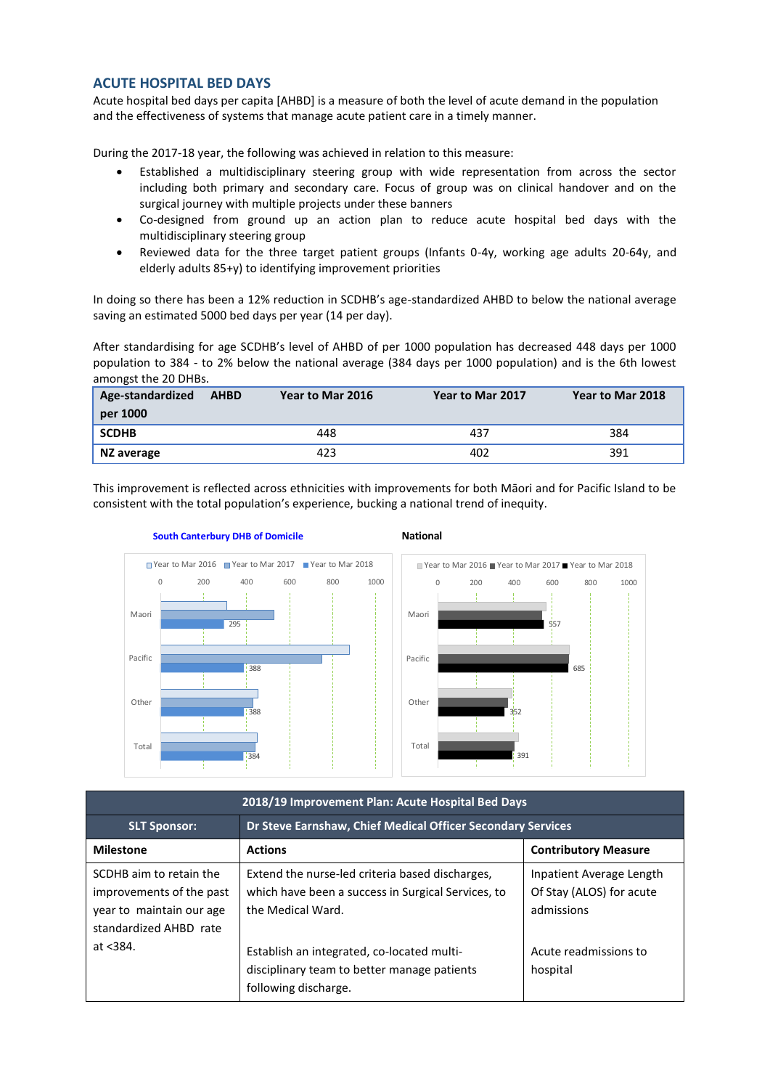### **ACUTE HOSPITAL BED DAYS**

Acute hospital bed days per capita [AHBD] is a measure of both the level of acute demand in the population and the effectiveness of systems that manage acute patient care in a timely manner.

During the 2017-18 year, the following was achieved in relation to this measure:

- Established a multidisciplinary steering group with wide representation from across the sector including both primary and secondary care. Focus of group was on clinical handover and on the surgical journey with multiple projects under these banners
- Co-designed from ground up an action plan to reduce acute hospital bed days with the multidisciplinary steering group
- Reviewed data for the three target patient groups (Infants 0-4y, working age adults 20-64y, and elderly adults 85+y) to identifying improvement priorities

In doing so there has been a 12% reduction in SCDHB's age-standardized AHBD to below the national average saving an estimated 5000 bed days per year (14 per day).

After standardising for age SCDHB's level of AHBD of per 1000 population has decreased 448 days per 1000 population to 384 - to 2% below the national average (384 days per 1000 population) and is the 6th lowest amongst the 20 DHBs.

| Age-standardized<br>per 1000 | <b>AHBD</b> | Year to Mar 2016 | Year to Mar 2017 | Year to Mar 2018 |
|------------------------------|-------------|------------------|------------------|------------------|
| <b>SCDHB</b>                 |             | 448              | 437              | 384              |
| NZ average                   |             | 423              | 402              | 391              |

This improvement is reflected across ethnicities with improvements for both Māori and for Pacific Island to be consistent with the total population's experience, bucking a national trend of inequity.



| 2018/19 Improvement Plan: Acute Hospital Bed Days                                                         |                                                                                                                            |                                                                    |  |
|-----------------------------------------------------------------------------------------------------------|----------------------------------------------------------------------------------------------------------------------------|--------------------------------------------------------------------|--|
| <b>SLT Sponsor:</b>                                                                                       | Dr Steve Earnshaw, Chief Medical Officer Secondary Services                                                                |                                                                    |  |
| <b>Milestone</b>                                                                                          | <b>Actions</b>                                                                                                             | <b>Contributory Measure</b>                                        |  |
| SCDHB aim to retain the<br>improvements of the past<br>year to maintain our age<br>standardized AHBD rate | Extend the nurse-led criteria based discharges,<br>which have been a success in Surgical Services, to<br>the Medical Ward. | Inpatient Average Length<br>Of Stay (ALOS) for acute<br>admissions |  |
| at $<$ 384.                                                                                               | Establish an integrated, co-located multi-<br>disciplinary team to better manage patients<br>following discharge.          | Acute readmissions to<br>hospital                                  |  |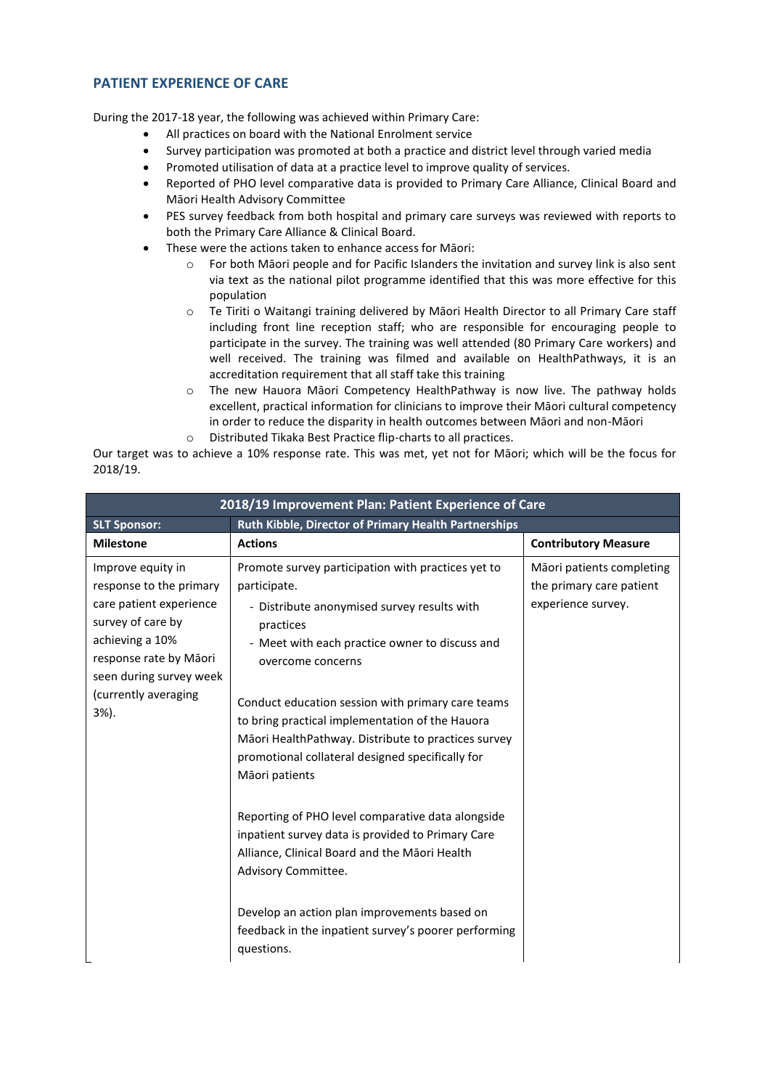## **PATIENT EXPERIENCE OF CARE**

During the 2017-18 year, the following was achieved within Primary Care:

- All practices on board with the National Enrolment service
- Survey participation was promoted at both a practice and district level through varied media
- Promoted utilisation of data at a practice level to improve quality of services.
- Reported of PHO level comparative data is provided to Primary Care Alliance, Clinical Board and Māori Health Advisory Committee
- PES survey feedback from both hospital and primary care surveys was reviewed with reports to both the Primary Care Alliance & Clinical Board.
- These were the actions taken to enhance access for Māori:
	- $\circ$  For both Māori people and for Pacific Islanders the invitation and survey link is also sent via text as the national pilot programme identified that this was more effective for this population
	- o Te Tiriti o Waitangi training delivered by Māori Health Director to all Primary Care staff including front line reception staff; who are responsible for encouraging people to participate in the survey. The training was well attended (80 Primary Care workers) and well received. The training was filmed and available on HealthPathways, it is an accreditation requirement that all staff take this training
	- o The new Hauora Māori Competency HealthPathway is now live. The pathway holds excellent, practical information for clinicians to improve their Māori cultural competency in order to reduce the disparity in health outcomes between Māori and non-Māori
	- o Distributed Tikaka Best Practice flip-charts to all practices.

Our target was to achieve a 10% response rate. This was met, yet not for Māori; which will be the focus for 2018/19.

| 2018/19 Improvement Plan: Patient Experience of Care                                                                                                                                                 |                                                                                                                                                                                                                                                                                                                                                                                                                                                                                                 |                                                                             |
|------------------------------------------------------------------------------------------------------------------------------------------------------------------------------------------------------|-------------------------------------------------------------------------------------------------------------------------------------------------------------------------------------------------------------------------------------------------------------------------------------------------------------------------------------------------------------------------------------------------------------------------------------------------------------------------------------------------|-----------------------------------------------------------------------------|
| <b>SLT Sponsor:</b>                                                                                                                                                                                  | Ruth Kibble, Director of Primary Health Partnerships                                                                                                                                                                                                                                                                                                                                                                                                                                            |                                                                             |
| <b>Milestone</b>                                                                                                                                                                                     | <b>Actions</b>                                                                                                                                                                                                                                                                                                                                                                                                                                                                                  | <b>Contributory Measure</b>                                                 |
| Improve equity in<br>response to the primary<br>care patient experience<br>survey of care by<br>achieving a 10%<br>response rate by Māori<br>seen during survey week<br>(currently averaging<br>3%). | Promote survey participation with practices yet to<br>participate.<br>- Distribute anonymised survey results with<br>practices<br>- Meet with each practice owner to discuss and<br>overcome concerns<br>Conduct education session with primary care teams<br>to bring practical implementation of the Hauora<br>Māori HealthPathway. Distribute to practices survey<br>promotional collateral designed specifically for<br>Māori patients<br>Reporting of PHO level comparative data alongside | Māori patients completing<br>the primary care patient<br>experience survey. |
|                                                                                                                                                                                                      | inpatient survey data is provided to Primary Care<br>Alliance, Clinical Board and the Māori Health<br>Advisory Committee.                                                                                                                                                                                                                                                                                                                                                                       |                                                                             |
|                                                                                                                                                                                                      | Develop an action plan improvements based on<br>feedback in the inpatient survey's poorer performing<br>questions.                                                                                                                                                                                                                                                                                                                                                                              |                                                                             |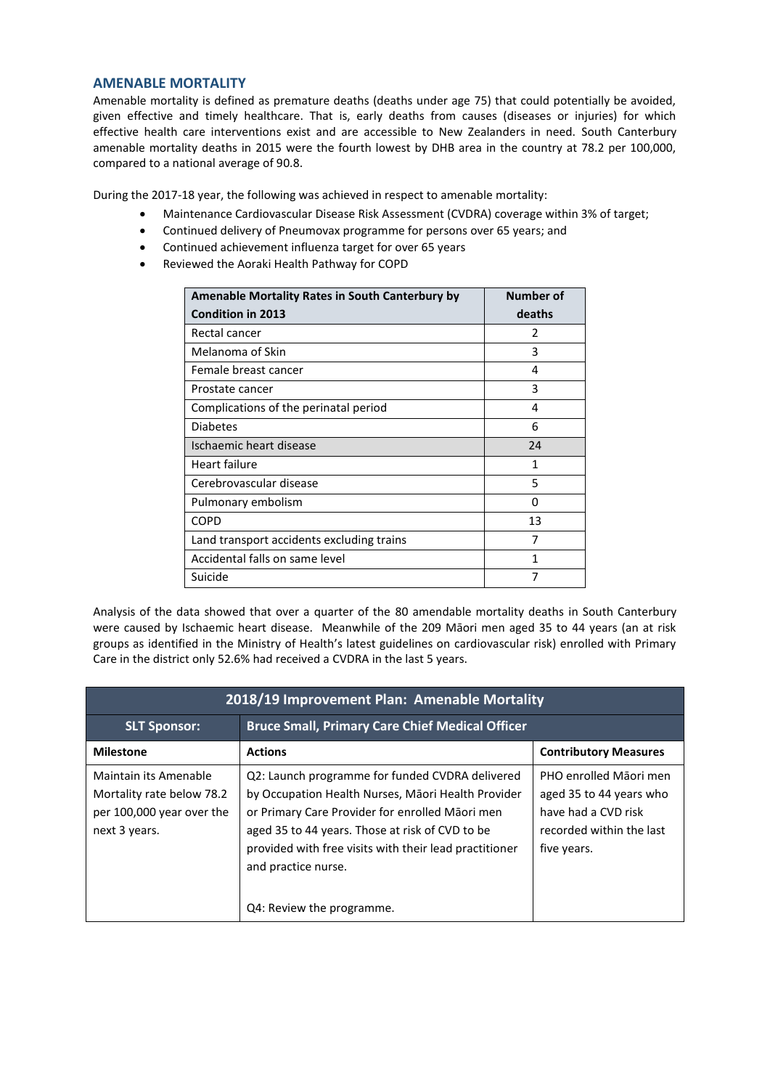#### **AMENABLE MORTALITY**

Amenable mortality is defined as premature deaths (deaths under age 75) that could potentially be avoided, given effective and timely healthcare. That is, early deaths from causes (diseases or injuries) for which effective health care interventions exist and are accessible to New Zealanders in need. South Canterbury amenable mortality deaths in 2015 were the fourth lowest by DHB area in the country at 78.2 per 100,000, compared to a national average of 90.8.

During the 2017-18 year, the following was achieved in respect to amenable mortality:

- Maintenance Cardiovascular Disease Risk Assessment (CVDRA) coverage within 3% of target;
- Continued delivery of Pneumovax programme for persons over 65 years; and
- Continued achievement influenza target for over 65 years
- Reviewed the Aoraki Health Pathway for COPD

| Amenable Mortality Rates in South Canterbury by | Number of     |
|-------------------------------------------------|---------------|
| <b>Condition in 2013</b>                        | deaths        |
| Rectal cancer                                   | $\mathcal{P}$ |
| Melanoma of Skin                                | 3             |
| Female breast cancer                            | 4             |
| Prostate cancer                                 | 3             |
| Complications of the perinatal period           | 4             |
| <b>Diabetes</b>                                 | 6             |
| Ischaemic heart disease                         | 24            |
| Heart failure                                   | 1             |
| Cerebrovascular disease                         | 5             |
| Pulmonary embolism                              | O             |
| <b>COPD</b>                                     | 13            |
| Land transport accidents excluding trains       | 7             |
| Accidental falls on same level                  | 1             |
| Suicide                                         | 7             |

Analysis of the data showed that over a quarter of the 80 amendable mortality deaths in South Canterbury were caused by Ischaemic heart disease. Meanwhile of the 209 Māori men aged 35 to 44 years (an at risk groups as identified in the Ministry of Health's latest guidelines on cardiovascular risk) enrolled with Primary Care in the district only 52.6% had received a CVDRA in the last 5 years.

| 2018/19 Improvement Plan: Amenable Mortality                                                     |                                                                                                                                                                                                                                                                                                                           |                                                                                                                     |
|--------------------------------------------------------------------------------------------------|---------------------------------------------------------------------------------------------------------------------------------------------------------------------------------------------------------------------------------------------------------------------------------------------------------------------------|---------------------------------------------------------------------------------------------------------------------|
| <b>SLT Sponsor:</b>                                                                              | <b>Bruce Small, Primary Care Chief Medical Officer</b>                                                                                                                                                                                                                                                                    |                                                                                                                     |
| <b>Milestone</b>                                                                                 | <b>Actions</b>                                                                                                                                                                                                                                                                                                            | <b>Contributory Measures</b>                                                                                        |
| Maintain its Amenable<br>Mortality rate below 78.2<br>per 100,000 year over the<br>next 3 years. | Q2: Launch programme for funded CVDRA delivered<br>by Occupation Health Nurses, Māori Health Provider<br>or Primary Care Provider for enrolled Māori men<br>aged 35 to 44 years. Those at risk of CVD to be<br>provided with free visits with their lead practitioner<br>and practice nurse.<br>Q4: Review the programme. | PHO enrolled Māori men<br>aged 35 to 44 years who<br>have had a CVD risk<br>recorded within the last<br>five years. |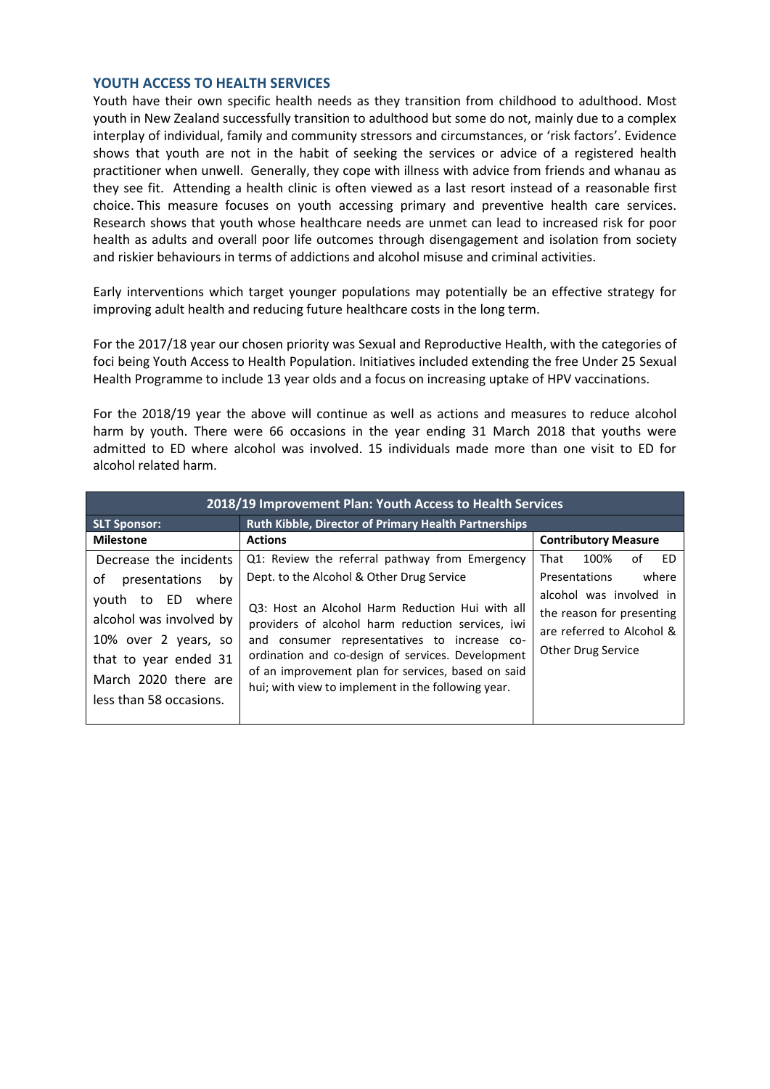### **YOUTH ACCESS TO HEALTH SERVICES**

Youth have their own specific health needs as they transition from childhood to adulthood. Most youth in New Zealand successfully transition to adulthood but some do not, mainly due to a complex interplay of individual, family and community stressors and circumstances, or 'risk factors'. Evidence shows that youth are not in the habit of seeking the services or advice of a registered health practitioner when unwell. Generally, they cope with illness with advice from friends and whanau as they see fit. Attending a health clinic is often viewed as a last resort instead of a reasonable first choice. This measure focuses on youth accessing primary and preventive health care services. Research shows that youth whose healthcare needs are unmet can lead to increased risk for poor health as adults and overall poor life outcomes through disengagement and isolation from society and riskier behaviours in terms of addictions and alcohol misuse and criminal activities.

Early interventions which target younger populations may potentially be an effective strategy for improving adult health and reducing future healthcare costs in the long term.

For the 2017/18 year our chosen priority was Sexual and Reproductive Health, with the categories of foci being Youth Access to Health Population. Initiatives included extending the free Under 25 Sexual Health Programme to include 13 year olds and a focus on increasing uptake of HPV vaccinations.

For the 2018/19 year the above will continue as well as actions and measures to reduce alcohol harm by youth. There were 66 occasions in the year ending 31 March 2018 that youths were admitted to ED where alcohol was involved. 15 individuals made more than one visit to ED for alcohol related harm.

| 2018/19 Improvement Plan: Youth Access to Health Services                                     |                                                                                                                                                                                                                                                                 |                                                                                                         |  |
|-----------------------------------------------------------------------------------------------|-----------------------------------------------------------------------------------------------------------------------------------------------------------------------------------------------------------------------------------------------------------------|---------------------------------------------------------------------------------------------------------|--|
| <b>SLT Sponsor:</b>                                                                           | Ruth Kibble, Director of Primary Health Partnerships                                                                                                                                                                                                            |                                                                                                         |  |
| <b>Milestone</b>                                                                              | <b>Actions</b>                                                                                                                                                                                                                                                  | <b>Contributory Measure</b>                                                                             |  |
| Decrease the incidents                                                                        | Q1: Review the referral pathway from Emergency                                                                                                                                                                                                                  | That<br>100%<br>ED<br>οt                                                                                |  |
| οf<br>presentations<br>by                                                                     | Dept. to the Alcohol & Other Drug Service                                                                                                                                                                                                                       | where<br><b>Presentations</b>                                                                           |  |
| youth to ED where<br>alcohol was involved by<br>10% over 2 years, so<br>that to year ended 31 | Q3: Host an Alcohol Harm Reduction Hui with all<br>providers of alcohol harm reduction services, iwi<br>and consumer representatives to increase co-<br>ordination and co-design of services. Development<br>of an improvement plan for services, based on said | alcohol was involved in<br>the reason for presenting<br>are referred to Alcohol &<br>Other Drug Service |  |
| March 2020 there are<br>less than 58 occasions.                                               | hui; with view to implement in the following year.                                                                                                                                                                                                              |                                                                                                         |  |